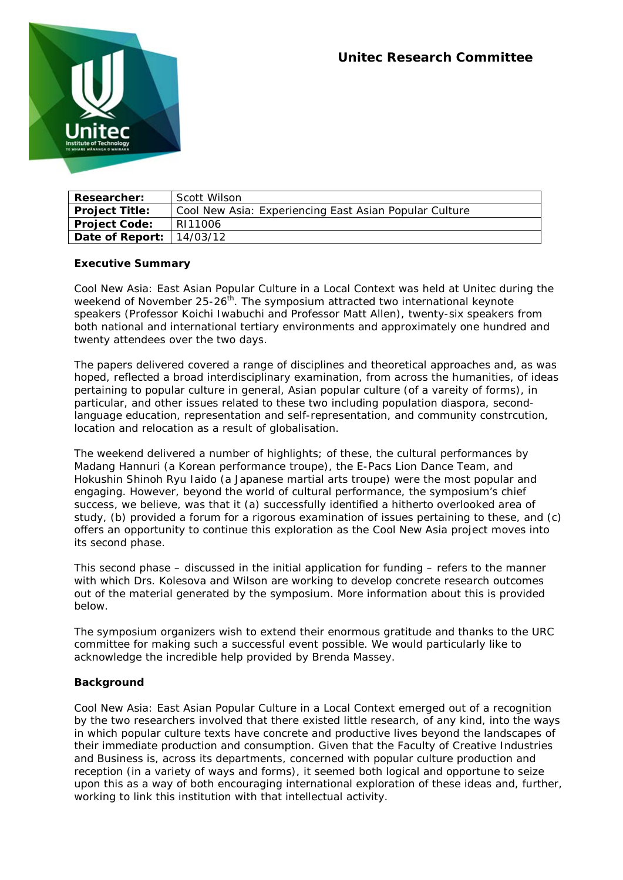

| <b>Researcher:</b>           | Scott Wilson                                           |
|------------------------------|--------------------------------------------------------|
| <b>Project Title:</b>        | Cool New Asia: Experiencing East Asian Popular Culture |
| <b>Project Code:</b>         | RI11006                                                |
| Date of Report: $ 14/03/12 $ |                                                        |

# **Executive Summary**

*Cool New Asia: East Asian Popular Culture in a Local Context* was held at Unitec during the weekend of November 25-26<sup>th</sup>. The symposium attracted two international keynote speakers (Professor Koichi Iwabuchi and Professor Matt Allen), twenty-six speakers from both national and international tertiary environments and approximately one hundred and twenty attendees over the two days.

The papers delivered covered a range of disciplines and theoretical approaches and, as was hoped, reflected a broad interdisciplinary examination, from across the humanities, of ideas pertaining to popular culture in general, Asian popular culture (of a vareity of forms), in particular, and other issues related to these two including population diaspora, secondlanguage education, representation and self-representation, and community constrcution, location and relocation as a result of globalisation.

The weekend delivered a number of highlights; of these, the cultural performances by Madang Hannuri (a Korean performance troupe), the E-Pacs Lion Dance Team, and Hokushin Shinoh Ryu Iaido (a Japanese martial arts troupe) were the most popular and engaging. However, beyond the world of cultural performance, the symposium's chief success, we believe, was that it (a) successfully identified a hitherto overlooked area of study, (b) provided a forum for a rigorous examination of issues pertaining to these, and (c) offers an opportunity to continue this exploration as the *Cool New Asia* project moves into its second phase.

This second phase – discussed in the initial application for funding – refers to the manner with which Drs. Kolesova and Wilson are working to develop concrete research outcomes out of the material generated by the symposium. More information about this is provided below.

The symposium organizers wish to extend their enormous gratitude and thanks to the URC committee for making such a successful event possible. We would particularly like to acknowledge the incredible help provided by Brenda Massey.

### **Background**

*Cool New Asia: East Asian Popular Culture in a Local Context* emerged out of a recognition by the two researchers involved that there existed little research, of any kind, into the ways in which popular culture texts have concrete and productive lives beyond the landscapes of their immediate production and consumption. Given that the Faculty of Creative Industries and Business is, across its departments, concerned with popular culture production and reception (in a variety of ways and forms), it seemed both logical and opportune to seize upon this as a way of both encouraging international exploration of these ideas and, further, working to link this institution with that intellectual activity.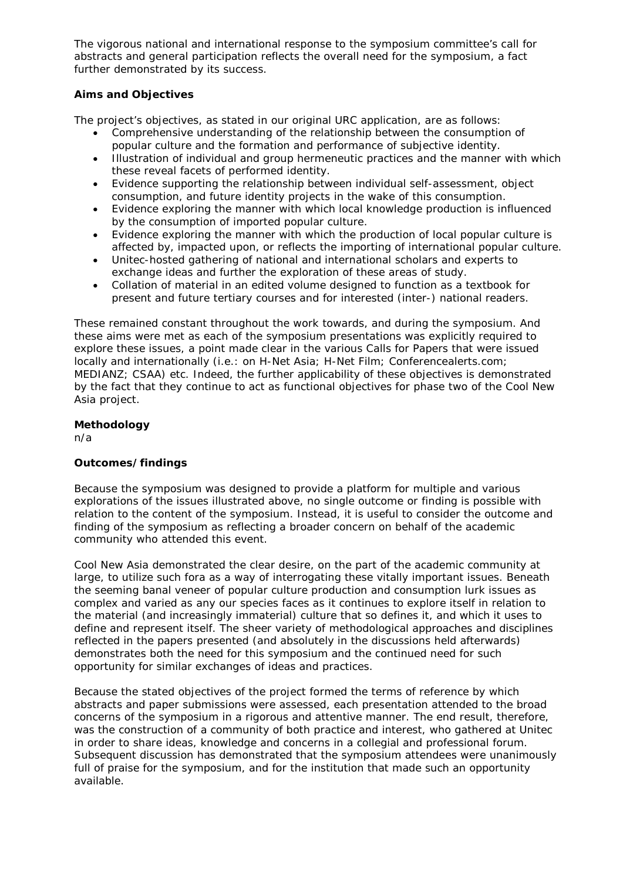The vigorous national and international response to the symposium committee's call for abstracts and general participation reflects the overall need for the symposium, a fact further demonstrated by its success.

# **Aims and Objectives**

The project's objectives, as stated in our original URC application, are as follows:

- Comprehensive understanding of the relationship between the consumption of popular culture and the formation and performance of subjective identity.
- Illustration of individual and group hermeneutic practices and the manner with which these reveal facets of performed identity.
- Evidence supporting the relationship between individual self-assessment, object consumption, and future identity projects in the wake of this consumption.
- Evidence exploring the manner with which local knowledge production is influenced by the consumption of imported popular culture.
- Evidence exploring the manner with which the production of local popular culture is affected by, impacted upon, or reflects the importing of international popular culture.
- Unitec-hosted gathering of national and international scholars and experts to exchange ideas and further the exploration of these areas of study.
- Collation of material in an edited volume designed to function as a textbook for present and future tertiary courses and for interested (inter-) national readers.

These remained constant throughout the work towards, and during the symposium. And these aims were met as each of the symposium presentations was explicitly required to explore these issues, a point made clear in the various Calls for Papers that were issued locally and internationally (i.e.: on H-Net Asia; H-Net Film; Conferencealerts.com; MEDIANZ; CSAA) etc. Indeed, the further applicability of these objectives is demonstrated by the fact that they continue to act as functional objectives for phase two of the *Cool New Asia* project.

# **Methodology**

n/a

# **Outcomes/findings**

Because the symposium was designed to provide a platform for multiple and various explorations of the issues illustrated above, no single outcome or finding is possible with relation to the content of the symposium. Instead, it is useful to consider the outcome and finding of the symposium as reflecting a broader concern on behalf of the academic community who attended this event.

*Cool New Asia* demonstrated the clear desire, on the part of the academic community at large, to utilize such fora as a way of interrogating these vitally important issues. Beneath the seeming banal veneer of popular culture production and consumption lurk issues as complex and varied as any our species faces as it continues to explore itself in relation to the material (and increasingly immaterial) culture that so defines it, and which it uses to define and represent itself. The sheer variety of methodological approaches and disciplines reflected in the papers presented (and absolutely in the discussions held afterwards) demonstrates both the need for this symposium and the continued need for such opportunity for similar exchanges of ideas and practices.

Because the stated objectives of the project formed the terms of reference by which abstracts and paper submissions were assessed, each presentation attended to the broad concerns of the symposium in a rigorous and attentive manner. The end result, therefore, was the construction of a community of both practice and interest, who gathered at Unitec in order to share ideas, knowledge and concerns in a collegial and professional forum. Subsequent discussion has demonstrated that the symposium attendees were unanimously full of praise for the symposium, and for the institution that made such an opportunity available.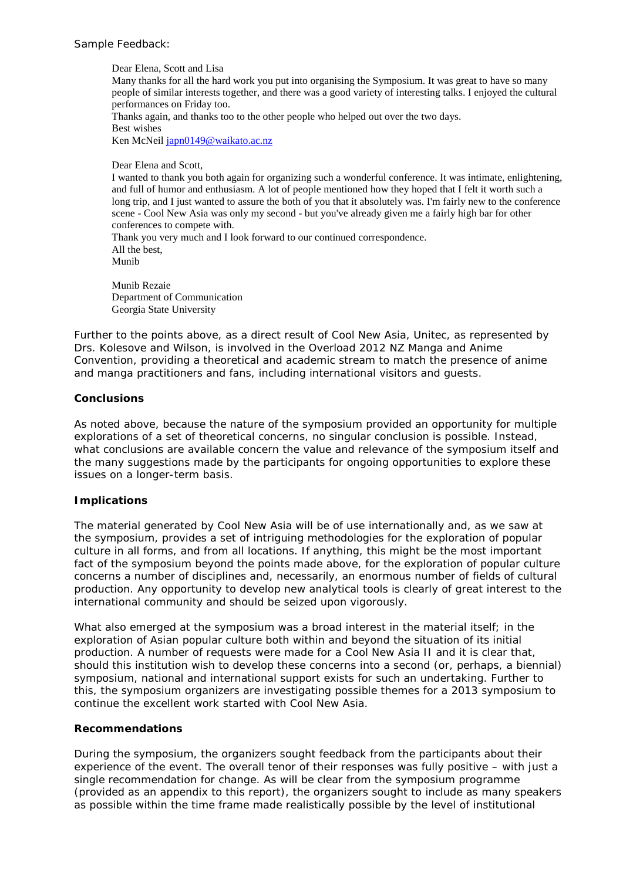### Sample Feedback:

Dear Elena, Scott and Lisa Many thanks for all the hard work you put into organising the Symposium. It was great to have so many people of similar interests together, and there was a good variety of interesting talks. I enjoyed the cultural performances on Friday too. Thanks again, and thanks too to the other people who helped out over the two days. Best wishes Ken McNeil [japn0149@waikato.ac.nz](mailto:japn0149@waikato.ac.nz)

Dear Elena and Scott,

I wanted to thank you both again for organizing such a wonderful conference. It was intimate, enlightening, and full of humor and enthusiasm. A lot of people mentioned how they hoped that I felt it worth such a long trip, and I just wanted to assure the both of you that it absolutely was. I'm fairly new to the conference scene - Cool New Asia was only my second - but you've already given me a fairly high bar for other conferences to compete with. Thank you very much and I look forward to our continued correspondence.

All the best, Munib

Munib Rezaie Department of Communication Georgia State University

Further to the points above, as a direct result of *Cool New Asia*, Unitec, as represented by Drs. Kolesove and Wilson, is involved in the *Overload 2012 NZ Manga and Anime Convention*, providing a theoretical and academic stream to match the presence of anime and manga practitioners and fans, including international visitors and guests.

#### **Conclusions**

As noted above, because the nature of the symposium provided an opportunity for multiple explorations of a set of theoretical concerns, no singular conclusion is possible. Instead, what conclusions are available concern the value and relevance of the symposium itself and the many suggestions made by the participants for ongoing opportunities to explore these issues on a longer-term basis.

#### **Implications**

The material generated by *Cool New Asia* will be of use internationally and, as we saw at the symposium, provides a set of intriguing methodologies for the exploration of popular culture in all forms, and from all locations. If anything, this might be the most important fact of the symposium beyond the points made above, for the exploration of popular culture concerns a number of disciplines and, necessarily, an enormous number of fields of cultural production. Any opportunity to develop new analytical tools is clearly of great interest to the international community and should be seized upon vigorously.

What also emerged at the symposium was a broad interest in the material itself; in the exploration of Asian popular culture both within and beyond the situation of its initial production. A number of requests were made for a *Cool New Asia II* and it is clear that, should this institution wish to develop these concerns into a second (or, perhaps, a biennial) symposium, national and international support exists for such an undertaking. Further to this, the symposium organizers are investigating possible themes for a 2013 symposium to continue the excellent work started with *Cool New Asia*.

#### **Recommendations**

During the symposium, the organizers sought feedback from the participants about their experience of the event. The overall tenor of their responses was fully positive – with just a single recommendation for change. As will be clear from the symposium programme (provided as an appendix to this report), the organizers sought to include as many speakers as possible within the time frame made realistically possible by the level of institutional